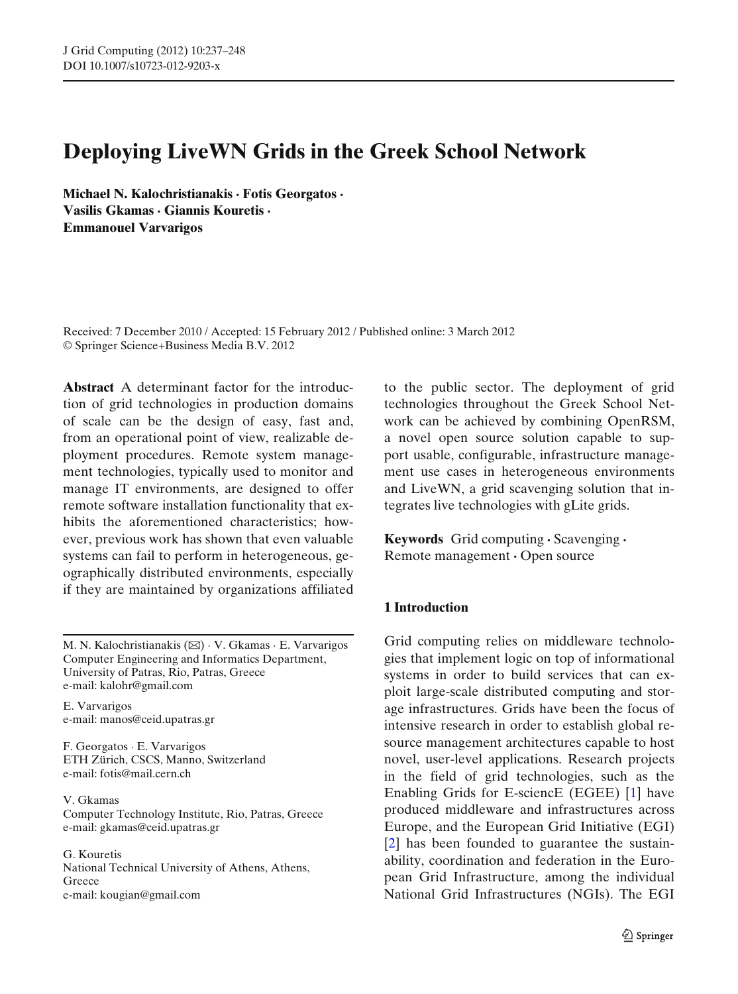# **Deploying LiveWN Grids in the Greek School Network**

**Michael N. Kalochristianakis · Fotis Georgatos · Vasilis Gkamas · Giannis Kouretis · Emmanouel Varvarigos**

Received: 7 December 2010 / Accepted: 15 February 2012 / Published online: 3 March 2012 © Springer Science+Business Media B.V. 2012

**Abstract** A determinant factor for the introduction of grid technologies in production domains of scale can be the design of easy, fast and, from an operational point of view, realizable deployment procedures. Remote system management technologies, typically used to monitor and manage IT environments, are designed to offer remote software installation functionality that exhibits the aforementioned characteristics; however, previous work has shown that even valuable systems can fail to perform in heterogeneous, geographically distributed environments, especially if they are maintained by organizations affiliated

M. N. Kalochristianakis  $(\boxtimes) \cdot V$ . Gkamas  $\cdot$  E. Varvarigos Computer Engineering and Informatics Department, University of Patras, Rio, Patras, Greece e-mail: kalohr@gmail.com

E. Varvarigos e-mail: manos@ceid.upatras.gr

F. Georgatos · E. Varvarigos ETH Zürich, CSCS, Manno, Switzerland e-mail: fotis@mail.cern.ch

V. Gkamas Computer Technology Institute, Rio, Patras, Greece e-mail: gkamas@ceid.upatras.gr

G. Kouretis National Technical University of Athens, Athens, **Greece** e-mail: kougian@gmail.com

to the public sector. The deployment of grid technologies throughout the Greek School Network can be achieved by combining OpenRSM, a novel open source solution capable to support usable, configurable, infrastructure management use cases in heterogeneous environments and LiveWN, a grid scavenging solution that integrates live technologies with gLite grids.

**Keywords** Grid computing **·** Scavenging **·** Remote management **·** Open source

# **1 Introduction**

Grid computing relies on middleware technologies that implement logic on top of informational systems in order to build services that can exploit large-scale distributed computing and storage infrastructures. Grids have been the focus of intensive research in order to establish global resource management architectures capable to host novel, user-level applications. Research projects in the field of grid technologies, such as the Enabling Grids for E-sciencE (EGEE) [\[1](#page-11-0)] have produced middleware and infrastructures across Europe, and the European Grid Initiative (EGI) [\[2](#page-11-0)] has been founded to guarantee the sustainability, coordination and federation in the European Grid Infrastructure, among the individual National Grid Infrastructures (NGIs). The EGI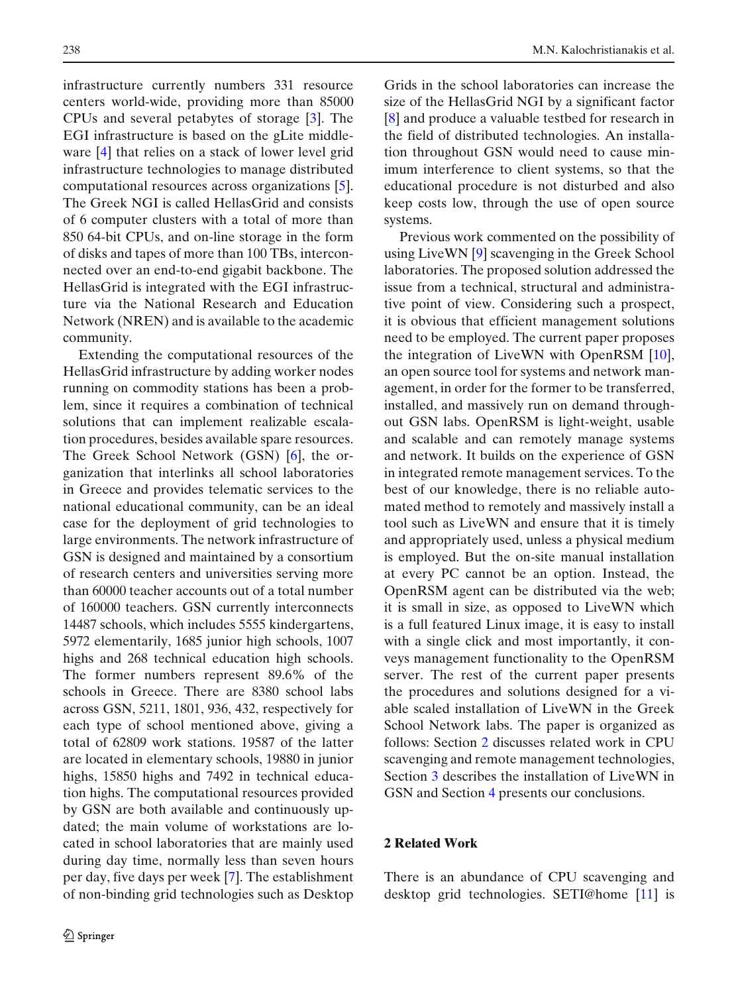infrastructure currently numbers 331 resource centers world-wide, providing more than 85000 CPUs and several petabytes of storage [\[3\]](#page-11-0). The EGI infrastructure is based on the gLite middleware [\[4](#page-11-0)] that relies on a stack of lower level grid infrastructure technologies to manage distributed computational resources across organizations [\[5](#page-11-0)]. The Greek NGI is called HellasGrid and consists of 6 computer clusters with a total of more than 850 64-bit CPUs, and on-line storage in the form of disks and tapes of more than 100 TBs, interconnected over an end-to-end gigabit backbone. The HellasGrid is integrated with the EGI infrastructure via the National Research and Education Network (NREN) and is available to the academic community.

Extending the computational resources of the HellasGrid infrastructure by adding worker nodes running on commodity stations has been a problem, since it requires a combination of technical solutions that can implement realizable escalation procedures, besides available spare resources. The Greek School Network (GSN) [\[6](#page-11-0)], the organization that interlinks all school laboratories in Greece and provides telematic services to the national educational community, can be an ideal case for the deployment of grid technologies to large environments. The network infrastructure of GSN is designed and maintained by a consortium of research centers and universities serving more than 60000 teacher accounts out of a total number of 160000 teachers. GSN currently interconnects 14487 schools, which includes 5555 kindergartens, 5972 elementarily, 1685 junior high schools, 1007 highs and 268 technical education high schools. The former numbers represent 89.6% of the schools in Greece. There are 8380 school labs across GSN, 5211, 1801, 936, 432, respectively for each type of school mentioned above, giving a total of 62809 work stations. 19587 of the latter are located in elementary schools, 19880 in junior highs, 15850 highs and 7492 in technical education highs. The computational resources provided by GSN are both available and continuously updated; the main volume of workstations are located in school laboratories that are mainly used during day time, normally less than seven hours per day, five days per week [\[7](#page-11-0)]. The establishment of non-binding grid technologies such as Desktop Grids in the school laboratories can increase the size of the HellasGrid NGI by a significant factor [\[8](#page-11-0)] and produce a valuable testbed for research in the field of distributed technologies. An installation throughout GSN would need to cause minimum interference to client systems, so that the educational procedure is not disturbed and also keep costs low, through the use of open source systems.

Previous work commented on the possibility of using LiveWN [\[9](#page-11-0)] scavenging in the Greek School laboratories. The proposed solution addressed the issue from a technical, structural and administrative point of view. Considering such a prospect, it is obvious that efficient management solutions need to be employed. The current paper proposes the integration of LiveWN with OpenRSM [\[10](#page-11-0)], an open source tool for systems and network management, in order for the former to be transferred, installed, and massively run on demand throughout GSN labs. OpenRSM is light-weight, usable and scalable and can remotely manage systems and network. It builds on the experience of GSN in integrated remote management services. To the best of our knowledge, there is no reliable automated method to remotely and massively install a tool such as LiveWN and ensure that it is timely and appropriately used, unless a physical medium is employed. But the on-site manual installation at every PC cannot be an option. Instead, the OpenRSM agent can be distributed via the web; it is small in size, as opposed to LiveWN which is a full featured Linux image, it is easy to install with a single click and most importantly, it conveys management functionality to the OpenRSM server. The rest of the current paper presents the procedures and solutions designed for a viable scaled installation of LiveWN in the Greek School Network labs. The paper is organized as follows: Section 2 discusses related work in CPU scavenging and remote management technologies, Section [3](#page-4-0) describes the installation of LiveWN in GSN and Section [4](#page-10-0) presents our conclusions.

### **2 Related Work**

There is an abundance of CPU scavenging and desktop grid technologies. SETI@home [\[11\]](#page-11-0) is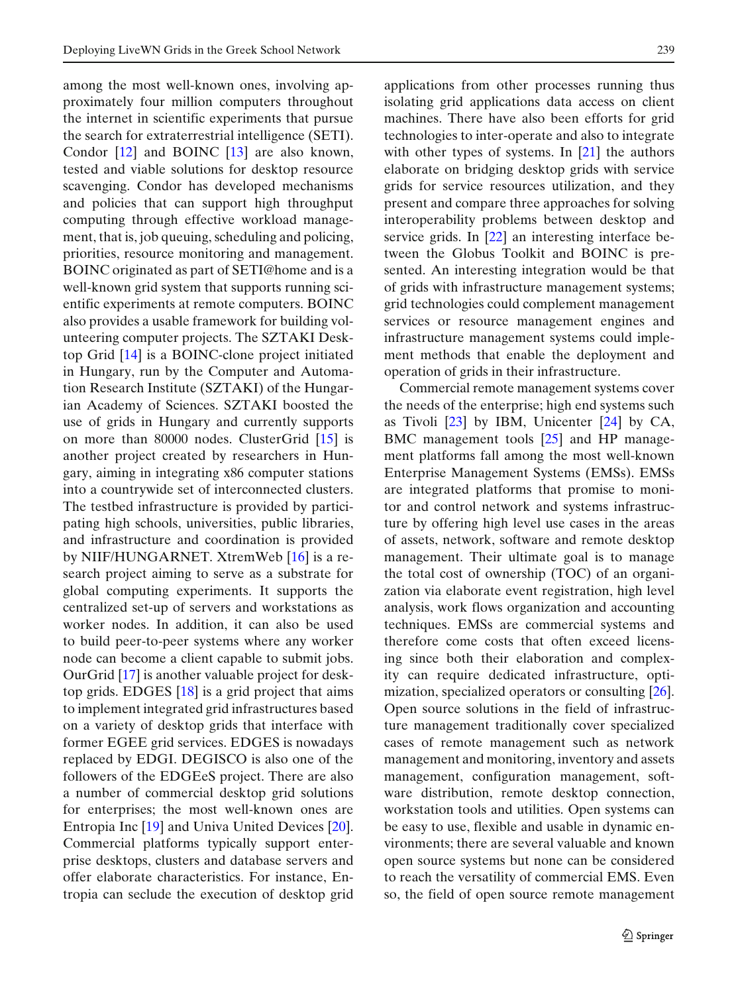among the most well-known ones, involving approximately four million computers throughout the internet in scientific experiments that pursue the search for extraterrestrial intelligence (SETI). Condor [\[12](#page-11-0)] and BOINC [\[13\]](#page-11-0) are also known, tested and viable solutions for desktop resource scavenging. Condor has developed mechanisms and policies that can support high throughput computing through effective workload management, that is, job queuing, scheduling and policing, priorities, resource monitoring and management. BOINC originated as part of SETI@home and is a well-known grid system that supports running scientific experiments at remote computers. BOINC also provides a usable framework for building volunteering computer projects. The SZTAKI Desktop Grid [\[14](#page-11-0)] is a BOINC-clone project initiated in Hungary, run by the Computer and Automation Research Institute (SZTAKI) of the Hungarian Academy of Sciences. SZTAKI boosted the use of grids in Hungary and currently supports on more than 80000 nodes. ClusterGrid [\[15](#page-11-0)] is another project created by researchers in Hungary, aiming in integrating x86 computer stations into a countrywide set of interconnected clusters. The testbed infrastructure is provided by participating high schools, universities, public libraries, and infrastructure and coordination is provided by NIIF/HUNGARNET. XtremWeb [\[16](#page-11-0)] is a research project aiming to serve as a substrate for global computing experiments. It supports the centralized set-up of servers and workstations as worker nodes. In addition, it can also be used to build peer-to-peer systems where any worker node can become a client capable to submit jobs. OurGrid [\[17\]](#page-11-0) is another valuable project for desktop grids. EDGES  $[18]$  is a grid project that aims to implement integrated grid infrastructures based on a variety of desktop grids that interface with former EGEE grid services. EDGES is nowadays replaced by EDGI. DEGISCO is also one of the followers of the EDGEeS project. There are also a number of commercial desktop grid solutions for enterprises; the most well-known ones are Entropia Inc [\[19](#page-11-0)] and Univa United Devices [\[20](#page-11-0)]. Commercial platforms typically support enterprise desktops, clusters and database servers and offer elaborate characteristics. For instance, Entropia can seclude the execution of desktop grid applications from other processes running thus isolating grid applications data access on client machines. There have also been efforts for grid technologies to inter-operate and also to integrate with other types of systems. In [\[21](#page-11-0)] the authors elaborate on bridging desktop grids with service grids for service resources utilization, and they present and compare three approaches for solving interoperability problems between desktop and service grids. In [\[22\]](#page-11-0) an interesting interface between the Globus Toolkit and BOINC is presented. An interesting integration would be that of grids with infrastructure management systems; grid technologies could complement management services or resource management engines and infrastructure management systems could implement methods that enable the deployment and operation of grids in their infrastructure.

Commercial remote management systems cover the needs of the enterprise; high end systems such as Tivoli [\[23](#page-11-0)] by IBM, Unicenter [\[24\]](#page-11-0) by CA, BMC management tools [\[25](#page-11-0)] and HP management platforms fall among the most well-known Enterprise Management Systems (EMSs). EMSs are integrated platforms that promise to monitor and control network and systems infrastructure by offering high level use cases in the areas of assets, network, software and remote desktop management. Their ultimate goal is to manage the total cost of ownership (TOC) of an organization via elaborate event registration, high level analysis, work flows organization and accounting techniques. EMSs are commercial systems and therefore come costs that often exceed licensing since both their elaboration and complexity can require dedicated infrastructure, opti-mization, specialized operators or consulting [\[26](#page-11-0)]. Open source solutions in the field of infrastructure management traditionally cover specialized cases of remote management such as network management and monitoring, inventory and assets management, configuration management, software distribution, remote desktop connection, workstation tools and utilities. Open systems can be easy to use, flexible and usable in dynamic environments; there are several valuable and known open source systems but none can be considered to reach the versatility of commercial EMS. Even so, the field of open source remote management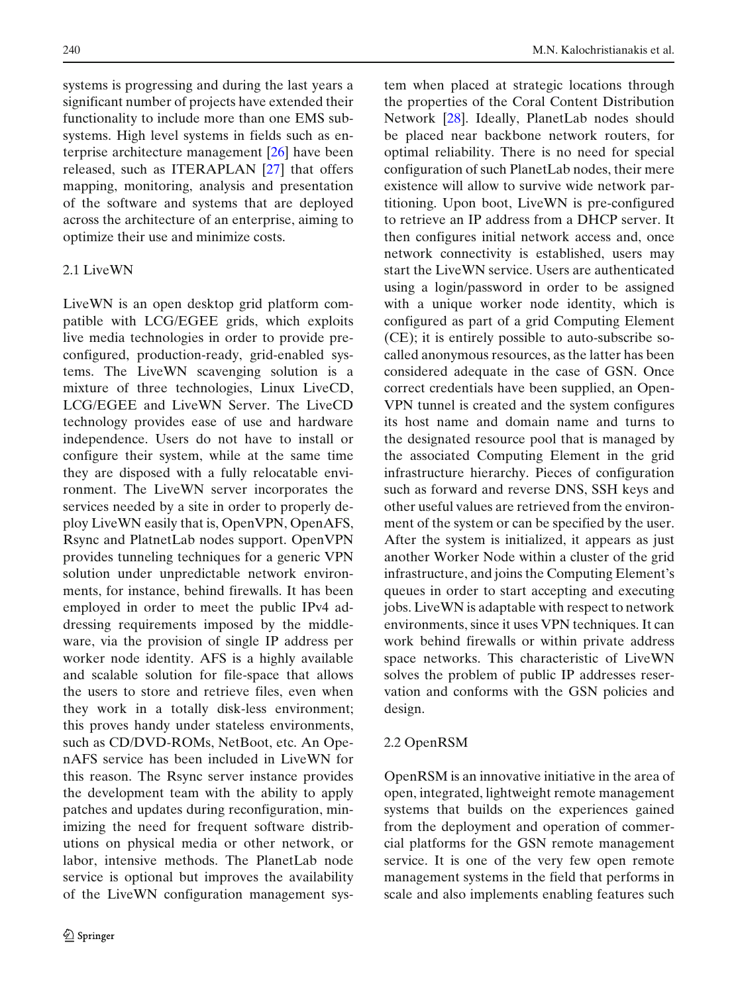systems is progressing and during the last years a significant number of projects have extended their functionality to include more than one EMS subsystems. High level systems in fields such as enterprise architecture management [\[26](#page-11-0)] have been released, such as ITERAPLAN [\[27\]](#page-11-0) that offers mapping, monitoring, analysis and presentation of the software and systems that are deployed across the architecture of an enterprise, aiming to optimize their use and minimize costs.

## 2.1 LiveWN

LiveWN is an open desktop grid platform compatible with LCG/EGEE grids, which exploits live media technologies in order to provide preconfigured, production-ready, grid-enabled systems. The LiveWN scavenging solution is a mixture of three technologies, Linux LiveCD, LCG/EGEE and LiveWN Server. The LiveCD technology provides ease of use and hardware independence. Users do not have to install or configure their system, while at the same time they are disposed with a fully relocatable environment. The LiveWN server incorporates the services needed by a site in order to properly deploy LiveWN easily that is, OpenVPN, OpenAFS, Rsync and PlatnetLab nodes support. OpenVPN provides tunneling techniques for a generic VPN solution under unpredictable network environments, for instance, behind firewalls. It has been employed in order to meet the public IPv4 addressing requirements imposed by the middleware, via the provision of single IP address per worker node identity. AFS is a highly available and scalable solution for file-space that allows the users to store and retrieve files, even when they work in a totally disk-less environment; this proves handy under stateless environments, such as CD/DVD-ROMs, NetBoot, etc. An OpenAFS service has been included in LiveWN for this reason. The Rsync server instance provides the development team with the ability to apply patches and updates during reconfiguration, minimizing the need for frequent software distributions on physical media or other network, or labor, intensive methods. The PlanetLab node service is optional but improves the availability of the LiveWN configuration management system when placed at strategic locations through the properties of the Coral Content Distribution Network [\[28\]](#page-11-0). Ideally, PlanetLab nodes should be placed near backbone network routers, for optimal reliability. There is no need for special configuration of such PlanetLab nodes, their mere existence will allow to survive wide network partitioning. Upon boot, LiveWN is pre-configured to retrieve an IP address from a DHCP server. It then configures initial network access and, once network connectivity is established, users may start the LiveWN service. Users are authenticated using a login/password in order to be assigned with a unique worker node identity, which is configured as part of a grid Computing Element (CE); it is entirely possible to auto-subscribe socalled anonymous resources, as the latter has been considered adequate in the case of GSN. Once correct credentials have been supplied, an Open-VPN tunnel is created and the system configures its host name and domain name and turns to the designated resource pool that is managed by the associated Computing Element in the grid infrastructure hierarchy. Pieces of configuration such as forward and reverse DNS, SSH keys and other useful values are retrieved from the environment of the system or can be specified by the user. After the system is initialized, it appears as just another Worker Node within a cluster of the grid infrastructure, and joins the Computing Element's queues in order to start accepting and executing jobs. LiveWN is adaptable with respect to network environments, since it uses VPN techniques. It can work behind firewalls or within private address space networks. This characteristic of LiveWN solves the problem of public IP addresses reservation and conforms with the GSN policies and design.

## 2.2 OpenRSM

OpenRSM is an innovative initiative in the area of open, integrated, lightweight remote management systems that builds on the experiences gained from the deployment and operation of commercial platforms for the GSN remote management service. It is one of the very few open remote management systems in the field that performs in scale and also implements enabling features such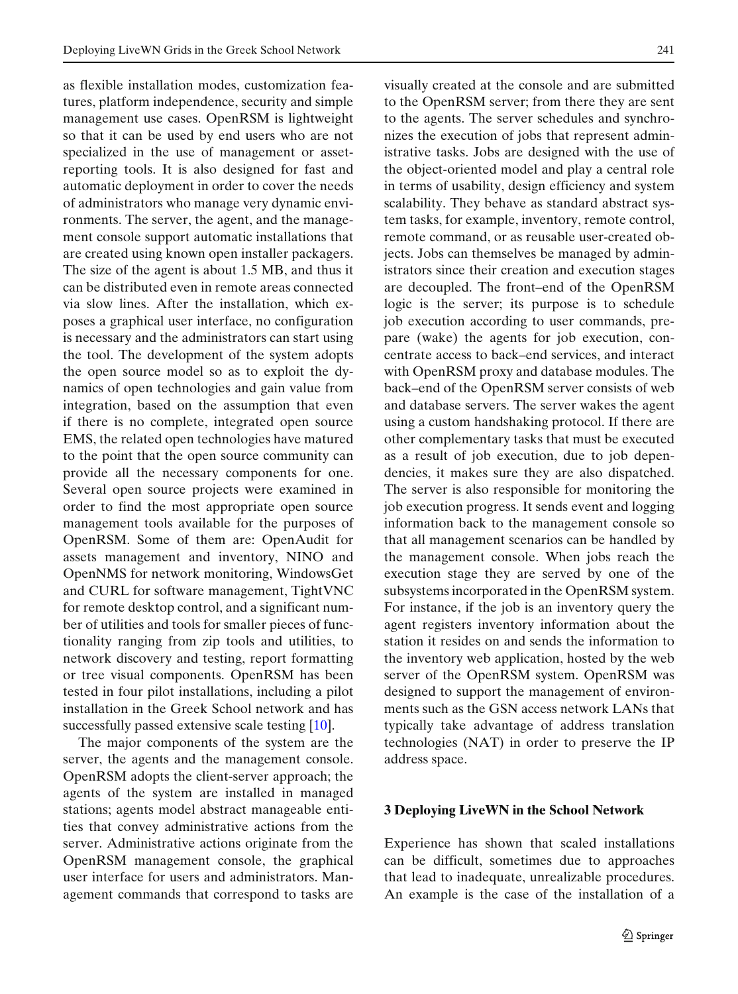<span id="page-4-0"></span>as flexible installation modes, customization features, platform independence, security and simple management use cases. OpenRSM is lightweight so that it can be used by end users who are not specialized in the use of management or assetreporting tools. It is also designed for fast and automatic deployment in order to cover the needs of administrators who manage very dynamic environments. The server, the agent, and the management console support automatic installations that are created using known open installer packagers. The size of the agent is about 1.5 MB, and thus it can be distributed even in remote areas connected via slow lines. After the installation, which exposes a graphical user interface, no configuration is necessary and the administrators can start using the tool. The development of the system adopts the open source model so as to exploit the dynamics of open technologies and gain value from integration, based on the assumption that even if there is no complete, integrated open source EMS, the related open technologies have matured to the point that the open source community can provide all the necessary components for one. Several open source projects were examined in order to find the most appropriate open source management tools available for the purposes of OpenRSM. Some of them are: OpenAudit for assets management and inventory, NINO and OpenNMS for network monitoring, WindowsGet and CURL for software management, TightVNC for remote desktop control, and a significant number of utilities and tools for smaller pieces of functionality ranging from zip tools and utilities, to network discovery and testing, report formatting or tree visual components. OpenRSM has been tested in four pilot installations, including a pilot installation in the Greek School network and has successfully passed extensive scale testing [\[10\]](#page-11-0).

The major components of the system are the server, the agents and the management console. OpenRSM adopts the client-server approach; the agents of the system are installed in managed stations; agents model abstract manageable entities that convey administrative actions from the server. Administrative actions originate from the OpenRSM management console, the graphical user interface for users and administrators. Management commands that correspond to tasks are visually created at the console and are submitted to the OpenRSM server; from there they are sent to the agents. The server schedules and synchronizes the execution of jobs that represent administrative tasks. Jobs are designed with the use of the object-oriented model and play a central role in terms of usability, design efficiency and system scalability. They behave as standard abstract system tasks, for example, inventory, remote control, remote command, or as reusable user-created objects. Jobs can themselves be managed by administrators since their creation and execution stages are decoupled. The front–end of the OpenRSM logic is the server; its purpose is to schedule job execution according to user commands, prepare (wake) the agents for job execution, concentrate access to back–end services, and interact with OpenRSM proxy and database modules. The back–end of the OpenRSM server consists of web and database servers. The server wakes the agent using a custom handshaking protocol. If there are other complementary tasks that must be executed as a result of job execution, due to job dependencies, it makes sure they are also dispatched. The server is also responsible for monitoring the job execution progress. It sends event and logging information back to the management console so that all management scenarios can be handled by the management console. When jobs reach the execution stage they are served by one of the subsystems incorporated in the OpenRSM system. For instance, if the job is an inventory query the agent registers inventory information about the station it resides on and sends the information to the inventory web application, hosted by the web server of the OpenRSM system. OpenRSM was designed to support the management of environments such as the GSN access network LANs that typically take advantage of address translation technologies (NAT) in order to preserve the IP address space.

#### **3 Deploying LiveWN in the School Network**

Experience has shown that scaled installations can be difficult, sometimes due to approaches that lead to inadequate, unrealizable procedures. An example is the case of the installation of a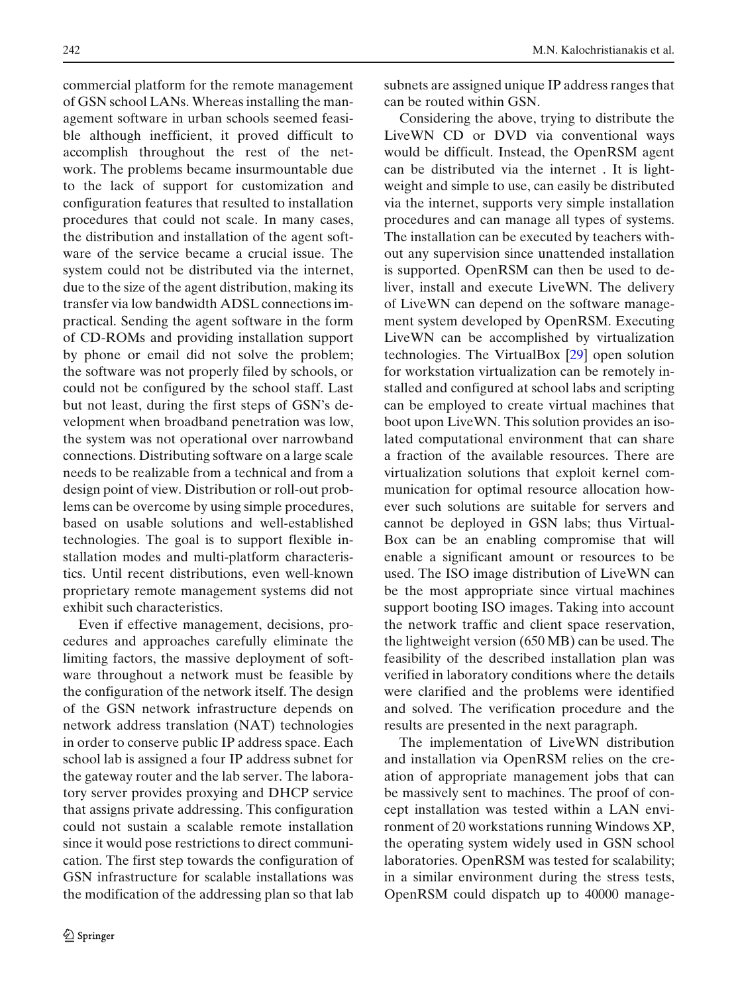commercial platform for the remote management of GSN school LANs. Whereas installing the management software in urban schools seemed feasible although inefficient, it proved difficult to accomplish throughout the rest of the network. The problems became insurmountable due to the lack of support for customization and configuration features that resulted to installation procedures that could not scale. In many cases, the distribution and installation of the agent software of the service became a crucial issue. The system could not be distributed via the internet, due to the size of the agent distribution, making its transfer via low bandwidth ADSL connections impractical. Sending the agent software in the form of CD-ROMs and providing installation support by phone or email did not solve the problem; the software was not properly filed by schools, or could not be configured by the school staff. Last but not least, during the first steps of GSN's development when broadband penetration was low, the system was not operational over narrowband connections. Distributing software on a large scale needs to be realizable from a technical and from a design point of view. Distribution or roll-out problems can be overcome by using simple procedures, based on usable solutions and well-established technologies. The goal is to support flexible installation modes and multi-platform characteristics. Until recent distributions, even well-known proprietary remote management systems did not exhibit such characteristics.

Even if effective management, decisions, procedures and approaches carefully eliminate the limiting factors, the massive deployment of software throughout a network must be feasible by the configuration of the network itself. The design of the GSN network infrastructure depends on network address translation (NAT) technologies in order to conserve public IP address space. Each school lab is assigned a four IP address subnet for the gateway router and the lab server. The laboratory server provides proxying and DHCP service that assigns private addressing. This configuration could not sustain a scalable remote installation since it would pose restrictions to direct communication. The first step towards the configuration of GSN infrastructure for scalable installations was the modification of the addressing plan so that lab subnets are assigned unique IP address ranges that can be routed within GSN.

Considering the above, trying to distribute the LiveWN CD or DVD via conventional ways would be difficult. Instead, the OpenRSM agent can be distributed via the internet . It is lightweight and simple to use, can easily be distributed via the internet, supports very simple installation procedures and can manage all types of systems. The installation can be executed by teachers without any supervision since unattended installation is supported. OpenRSM can then be used to deliver, install and execute LiveWN. The delivery of LiveWN can depend on the software management system developed by OpenRSM. Executing LiveWN can be accomplished by virtualization technologies. The VirtualBox [\[29\]](#page-11-0) open solution for workstation virtualization can be remotely installed and configured at school labs and scripting can be employed to create virtual machines that boot upon LiveWN. This solution provides an isolated computational environment that can share a fraction of the available resources. There are virtualization solutions that exploit kernel communication for optimal resource allocation however such solutions are suitable for servers and cannot be deployed in GSN labs; thus Virtual-Box can be an enabling compromise that will enable a significant amount or resources to be used. The ISO image distribution of LiveWN can be the most appropriate since virtual machines support booting ISO images. Taking into account the network traffic and client space reservation, the lightweight version (650 MB) can be used. The feasibility of the described installation plan was verified in laboratory conditions where the details were clarified and the problems were identified and solved. The verification procedure and the results are presented in the next paragraph.

The implementation of LiveWN distribution and installation via OpenRSM relies on the creation of appropriate management jobs that can be massively sent to machines. The proof of concept installation was tested within a LAN environment of 20 workstations running Windows XP, the operating system widely used in GSN school laboratories. OpenRSM was tested for scalability; in a similar environment during the stress tests, OpenRSM could dispatch up to 40000 manage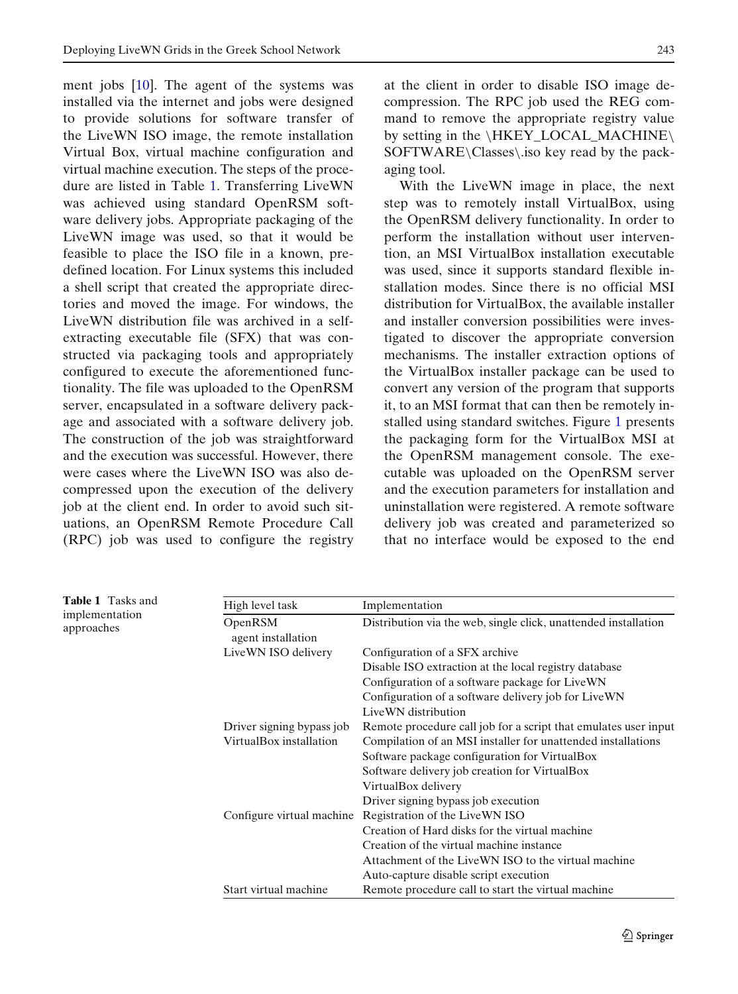ment jobs [\[10\]](#page-11-0). The agent of the systems was installed via the internet and jobs were designed to provide solutions for software transfer of the LiveWN ISO image, the remote installation Virtual Box, virtual machine configuration and virtual machine execution. The steps of the procedure are listed in Table 1. Transferring LiveWN was achieved using standard OpenRSM software delivery jobs. Appropriate packaging of the LiveWN image was used, so that it would be feasible to place the ISO file in a known, predefined location. For Linux systems this included a shell script that created the appropriate directories and moved the image. For windows, the LiveWN distribution file was archived in a selfextracting executable file (SFX) that was constructed via packaging tools and appropriately configured to execute the aforementioned functionality. The file was uploaded to the OpenRSM server, encapsulated in a software delivery package and associated with a software delivery job. The construction of the job was straightforward and the execution was successful. However, there were cases where the LiveWN ISO was also decompressed upon the execution of the delivery job at the client end. In order to avoid such situations, an OpenRSM Remote Procedure Call (RPC) job was used to configure the registry at the client in order to disable ISO image decompression. The RPC job used the REG command to remove the appropriate registry value by setting in the \HKEY\_LOCAL\_MACHINE\ SOFTWARE\Classes\.iso key read by the packaging tool.

With the LiveWN image in place, the next step was to remotely install VirtualBox, using the OpenRSM delivery functionality. In order to perform the installation without user intervention, an MSI VirtualBox installation executable was used, since it supports standard flexible installation modes. Since there is no official MSI distribution for VirtualBox, the available installer and installer conversion possibilities were investigated to discover the appropriate conversion mechanisms. The installer extraction options of the VirtualBox installer package can be used to convert any version of the program that supports it, to an MSI format that can then be remotely installed using standard switches. Figure [1](#page-7-0) presents the packaging form for the VirtualBox MSI at the OpenRSM management console. The executable was uploaded on the OpenRSM server and the execution parameters for installation and uninstallation were registered. A remote software delivery job was created and parameterized so that no interface would be exposed to the end

| <b>Table 1</b> Tasks and<br>implementation<br>approaches | High level task               | Implementation                                                  |
|----------------------------------------------------------|-------------------------------|-----------------------------------------------------------------|
|                                                          | OpenRSM<br>agent installation | Distribution via the web, single click, unattended installation |
|                                                          | LiveWN ISO delivery           | Configuration of a SFX archive                                  |
|                                                          |                               | Disable ISO extraction at the local registry database           |
|                                                          |                               | Configuration of a software package for LiveWN                  |
|                                                          |                               | Configuration of a software delivery job for LiveWN             |
|                                                          |                               | LiveWN distribution                                             |
|                                                          | Driver signing bypass job     | Remote procedure call job for a script that emulates user input |
|                                                          | VirtualBox installation       | Compilation of an MSI installer for unattended installations    |
|                                                          |                               | Software package configuration for VirtualBox                   |
|                                                          |                               | Software delivery job creation for VirtualBox                   |
|                                                          |                               | VirtualBox delivery                                             |
|                                                          |                               | Driver signing bypass job execution                             |
|                                                          | Configure virtual machine     | Registration of the LiveWN ISO                                  |
|                                                          |                               | Creation of Hard disks for the virtual machine                  |
|                                                          |                               | Creation of the virtual machine instance                        |
|                                                          |                               | Attachment of the LiveWN ISO to the virtual machine             |
|                                                          |                               | Auto-capture disable script execution                           |
|                                                          | Start virtual machine         | Remote procedure call to start the virtual machine.             |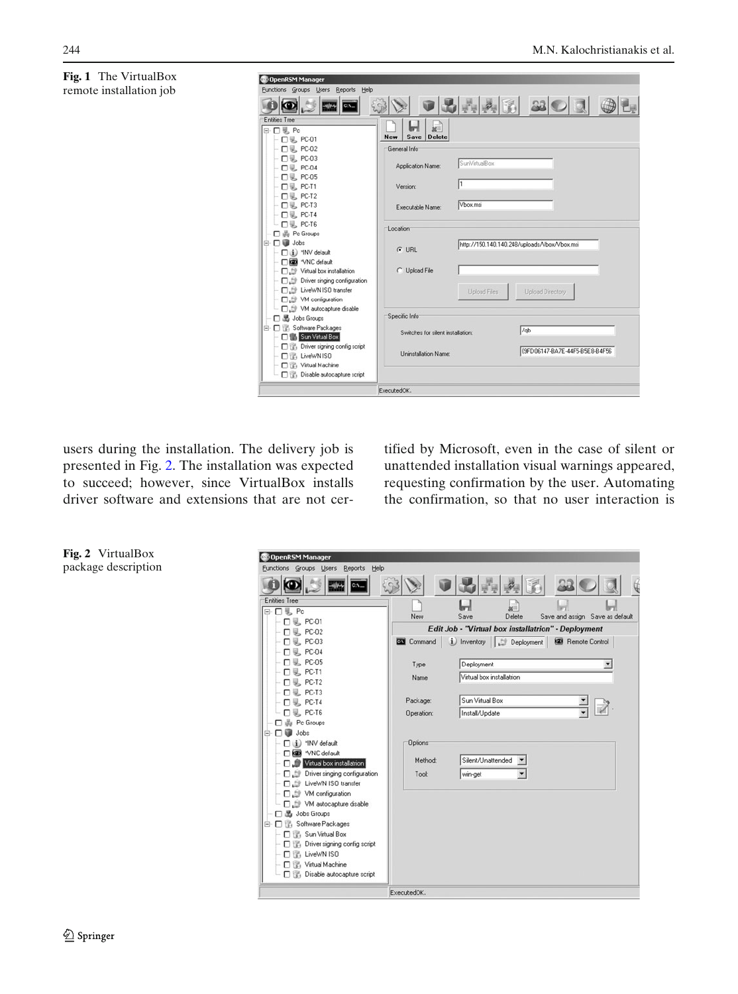<span id="page-7-0"></span>

users during the installation. The delivery job is presented in Fig. 2. The installation was expected to succeed; however, since VirtualBox installs driver software and extensions that are not certified by Microsoft, even in the case of silent or unattended installation visual warnings appeared, requesting confirmation by the user. Automating the confirmation, so that no user interaction is



| <b>SD OpenRSM Manager</b>                |                   |                                                     |                                 |
|------------------------------------------|-------------------|-----------------------------------------------------|---------------------------------|
| Functions Groups Users Reports Help      |                   |                                                     |                                 |
|                                          |                   |                                                     |                                 |
| <b>Entities Tree</b>                     |                   |                                                     |                                 |
| 口見 Pc                                    | New               | belli<br>Delete<br>Save                             | Save and assign Save as default |
| 口見 PC-01                                 |                   | Edit Job - "Virtual box installatrion" - Deployment |                                 |
| <b>见 PC-02</b>                           |                   |                                                     |                                 |
| <b>夏 PC-03</b>                           | Command           | i Inventory Deployment                              | Remote Control                  |
| <b>显 PC-04</b>                           |                   |                                                     |                                 |
| <b>夏</b> , PC-05<br>见 PC-T1              | Type              | Deployment                                          |                                 |
| 见 PC-T2                                  | Name              | Virtual box installatrion                           |                                 |
| 见 PC-T3                                  |                   |                                                     |                                 |
| 见 PC-T4                                  | Package:          | Sun Virtual Box                                     |                                 |
| 见 PC-T6                                  | <b>Operation:</b> | Install/Update                                      |                                 |
| <b>B</b> Pc Groups                       |                   |                                                     |                                 |
| Jobs                                     |                   |                                                     |                                 |
| i) 'INV default                          | <b>Options</b>    |                                                     |                                 |
| <b>D</b> *VNC default                    |                   |                                                     |                                 |
| Virtual box installatrion                | Method:           | Silent/Unattended                                   |                                 |
| Diver singing configuration              | Tool              | win-get                                             |                                 |
| LiveWN ISO transfer                      |                   |                                                     |                                 |
| □  VM configuration                      |                   |                                                     |                                 |
| M autocapture disable<br>□ 图 Jobs Groups |                   |                                                     |                                 |
| 白· 门 图 Software Packages                 |                   |                                                     |                                 |
| □ 图 Sun Virtual Box                      |                   |                                                     |                                 |
| Diver signing config script              |                   |                                                     |                                 |
| □ 图 LiveWN ISO                           |                   |                                                     |                                 |
| □ ■ Virtual Machine                      |                   |                                                     |                                 |
| Disable autocapture script               |                   |                                                     |                                 |
|                                          |                   |                                                     |                                 |
|                                          | ExecutedOK.       |                                                     |                                 |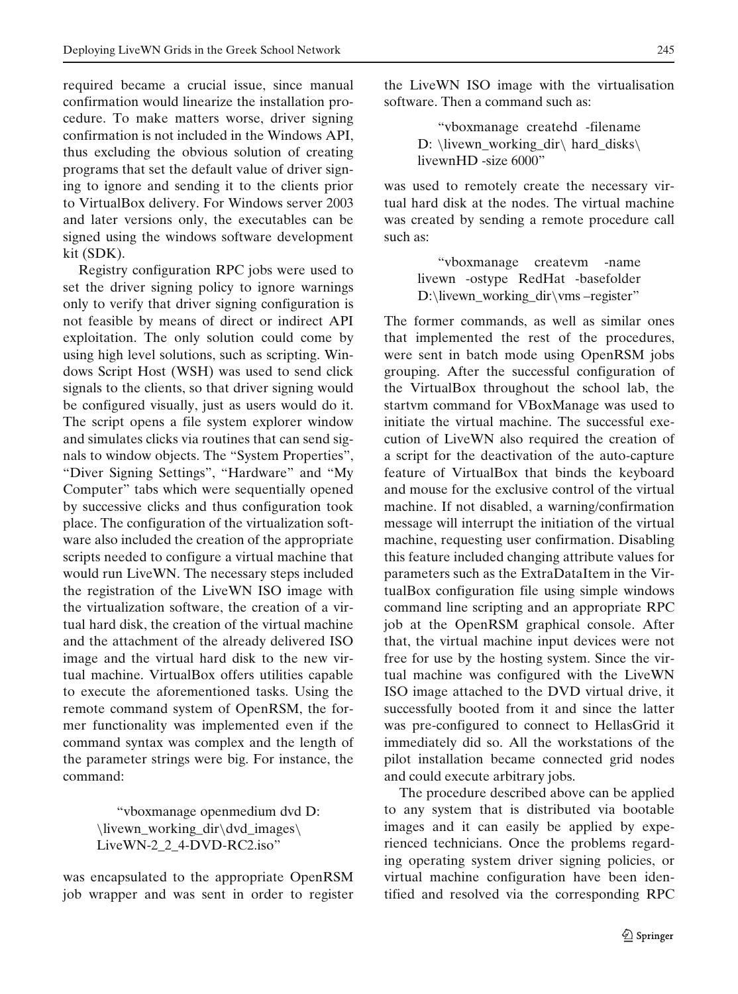required became a crucial issue, since manual confirmation would linearize the installation procedure. To make matters worse, driver signing confirmation is not included in the Windows API, thus excluding the obvious solution of creating programs that set the default value of driver signing to ignore and sending it to the clients prior to VirtualBox delivery. For Windows server 2003 and later versions only, the executables can be signed using the windows software development kit (SDK).

Registry configuration RPC jobs were used to set the driver signing policy to ignore warnings only to verify that driver signing configuration is not feasible by means of direct or indirect API exploitation. The only solution could come by using high level solutions, such as scripting. Windows Script Host (WSH) was used to send click signals to the clients, so that driver signing would be configured visually, just as users would do it. The script opens a file system explorer window and simulates clicks via routines that can send signals to window objects. The "System Properties", "Diver Signing Settings", "Hardware" and "My Computer" tabs which were sequentially opened by successive clicks and thus configuration took place. The configuration of the virtualization software also included the creation of the appropriate scripts needed to configure a virtual machine that would run LiveWN. The necessary steps included the registration of the LiveWN ISO image with the virtualization software, the creation of a virtual hard disk, the creation of the virtual machine and the attachment of the already delivered ISO image and the virtual hard disk to the new virtual machine. VirtualBox offers utilities capable to execute the aforementioned tasks. Using the remote command system of OpenRSM, the former functionality was implemented even if the command syntax was complex and the length of the parameter strings were big. For instance, the command:

> "vboxmanage openmedium dvd D: \livewn\_working\_dir\dvd\_images\ LiveWN-2\_2\_4-DVD-RC2.iso"

was encapsulated to the appropriate OpenRSM job wrapper and was sent in order to register the LiveWN ISO image with the virtualisation software. Then a command such as:

> "vboxmanage createhd -filename D: \livewn\_working\_dir\ hard\_disks\ livewnHD -size 6000"

was used to remotely create the necessary virtual hard disk at the nodes. The virtual machine was created by sending a remote procedure call such as:

> "vboxmanage createvm -name livewn -ostype RedHat -basefolder D:\livewn\_working\_dir\vms –register"

The former commands, as well as similar ones that implemented the rest of the procedures, were sent in batch mode using OpenRSM jobs grouping. After the successful configuration of the VirtualBox throughout the school lab, the startvm command for VBoxManage was used to initiate the virtual machine. The successful execution of LiveWN also required the creation of a script for the deactivation of the auto-capture feature of VirtualBox that binds the keyboard and mouse for the exclusive control of the virtual machine. If not disabled, a warning/confirmation message will interrupt the initiation of the virtual machine, requesting user confirmation. Disabling this feature included changing attribute values for parameters such as the ExtraDataItem in the VirtualBox configuration file using simple windows command line scripting and an appropriate RPC job at the OpenRSM graphical console. After that, the virtual machine input devices were not free for use by the hosting system. Since the virtual machine was configured with the LiveWN ISO image attached to the DVD virtual drive, it successfully booted from it and since the latter was pre-configured to connect to HellasGrid it immediately did so. All the workstations of the pilot installation became connected grid nodes and could execute arbitrary jobs.

The procedure described above can be applied to any system that is distributed via bootable images and it can easily be applied by experienced technicians. Once the problems regarding operating system driver signing policies, or virtual machine configuration have been identified and resolved via the corresponding RPC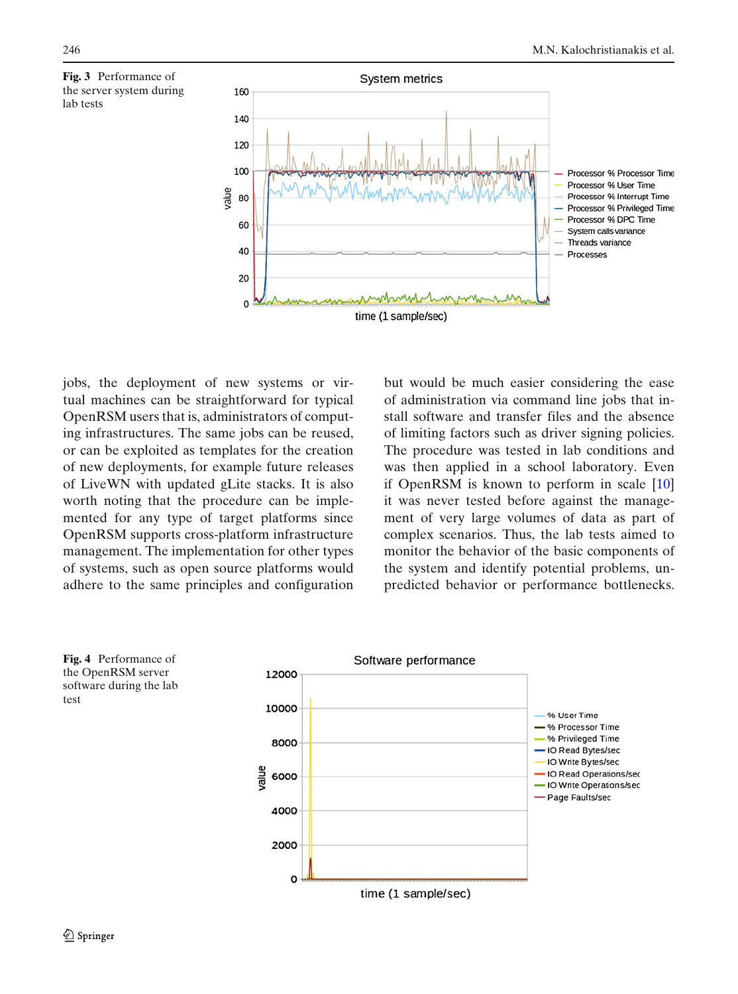<span id="page-9-0"></span>



jobs, the deployment of new systems or virtual machines can be straightforward for typical OpenRSM users that is, administrators of computing infrastructures. The same jobs can be reused, or can be exploited as templates for the creation of new deployments, for example future releases of LiveWN with updated gLite stacks. It is also worth noting that the procedure can be implemented for any type of target platforms since OpenRSM supports cross-platform infrastructure management. The implementation for other types of systems, such as open source platforms would adhere to the same principles and configuration but would be much easier considering the ease of administration via command line jobs that install software and transfer files and the absence of limiting factors such as driver signing policies. The procedure was tested in lab conditions and was then applied in a school laboratory. Even if OpenRSM is known to perform in scale [\[10\]](#page-11-0) it was never tested before against the management of very large volumes of data as part of complex scenarios. Thus, the lab tests aimed to monitor the behavior of the basic components of the system and identify potential problems, unpredicted behavior or performance bottlenecks.

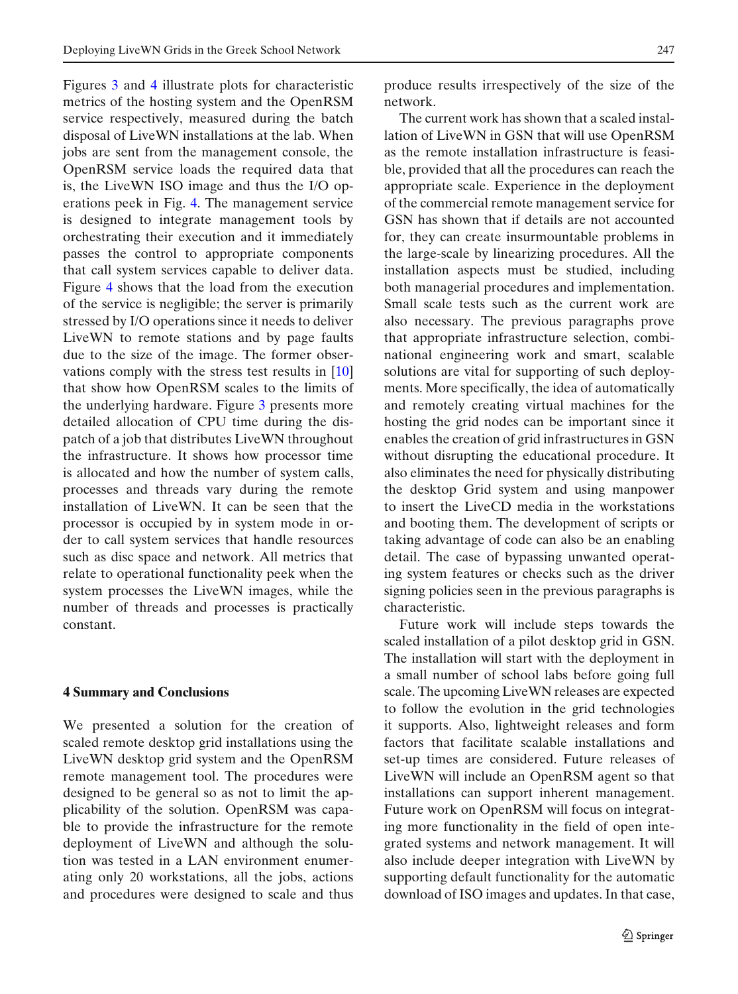<span id="page-10-0"></span>Figures [3](#page-9-0) and [4](#page-9-0) illustrate plots for characteristic metrics of the hosting system and the OpenRSM service respectively, measured during the batch disposal of LiveWN installations at the lab. When jobs are sent from the management console, the OpenRSM service loads the required data that is, the LiveWN ISO image and thus the I/O operations peek in Fig. [4.](#page-9-0) The management service is designed to integrate management tools by orchestrating their execution and it immediately passes the control to appropriate components that call system services capable to deliver data. Figure [4](#page-9-0) shows that the load from the execution of the service is negligible; the server is primarily stressed by I/O operations since it needs to deliver LiveWN to remote stations and by page faults due to the size of the image. The former observations comply with the stress test results in [\[10\]](#page-11-0) that show how OpenRSM scales to the limits of the underlying hardware. Figure [3](#page-9-0) presents more detailed allocation of CPU time during the dispatch of a job that distributes LiveWN throughout the infrastructure. It shows how processor time is allocated and how the number of system calls, processes and threads vary during the remote installation of LiveWN. It can be seen that the processor is occupied by in system mode in order to call system services that handle resources such as disc space and network. All metrics that relate to operational functionality peek when the system processes the LiveWN images, while the number of threads and processes is practically constant.

#### **4 Summary and Conclusions**

We presented a solution for the creation of scaled remote desktop grid installations using the LiveWN desktop grid system and the OpenRSM remote management tool. The procedures were designed to be general so as not to limit the applicability of the solution. OpenRSM was capable to provide the infrastructure for the remote deployment of LiveWN and although the solution was tested in a LAN environment enumerating only 20 workstations, all the jobs, actions and procedures were designed to scale and thus

produce results irrespectively of the size of the network.

The current work has shown that a scaled installation of LiveWN in GSN that will use OpenRSM as the remote installation infrastructure is feasible, provided that all the procedures can reach the appropriate scale. Experience in the deployment of the commercial remote management service for GSN has shown that if details are not accounted for, they can create insurmountable problems in the large-scale by linearizing procedures. All the installation aspects must be studied, including both managerial procedures and implementation. Small scale tests such as the current work are also necessary. The previous paragraphs prove that appropriate infrastructure selection, combinational engineering work and smart, scalable solutions are vital for supporting of such deployments. More specifically, the idea of automatically and remotely creating virtual machines for the hosting the grid nodes can be important since it enables the creation of grid infrastructures in GSN without disrupting the educational procedure. It also eliminates the need for physically distributing the desktop Grid system and using manpower to insert the LiveCD media in the workstations and booting them. The development of scripts or taking advantage of code can also be an enabling detail. The case of bypassing unwanted operating system features or checks such as the driver signing policies seen in the previous paragraphs is characteristic.

Future work will include steps towards the scaled installation of a pilot desktop grid in GSN. The installation will start with the deployment in a small number of school labs before going full scale. The upcoming LiveWN releases are expected to follow the evolution in the grid technologies it supports. Also, lightweight releases and form factors that facilitate scalable installations and set-up times are considered. Future releases of LiveWN will include an OpenRSM agent so that installations can support inherent management. Future work on OpenRSM will focus on integrating more functionality in the field of open integrated systems and network management. It will also include deeper integration with LiveWN by supporting default functionality for the automatic download of ISO images and updates. In that case,